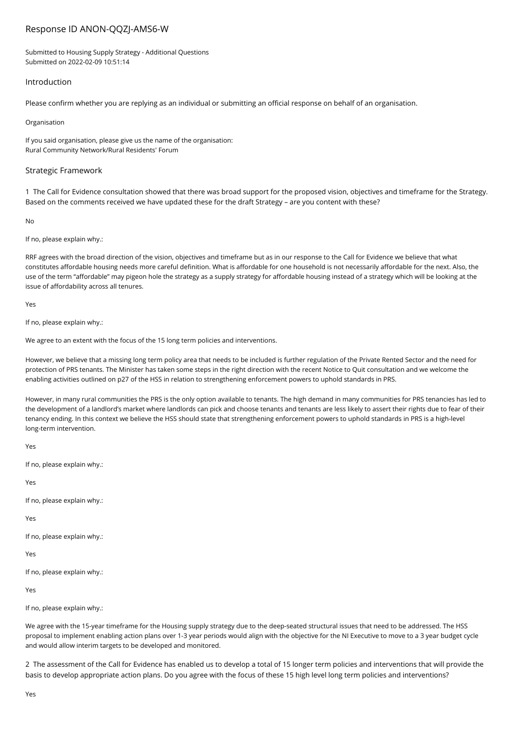# Response ID ANON-QQZJ-AMS6-W

Submitted to Housing Supply Strategy - Additional Questions Submitted on 2022-02-09 10:51:14

# Introduction

Please confirm whether you are replying as an individual or submitting an official response on behalf of an organisation.

#### Organisation

If you said organisation, please give us the name of the organisation: Rural Community Network/Rural Residents' Forum

# Strategic Framework

1 The Call for Evidence consultation showed that there was broad support for the proposed vision, objectives and timeframe for the Strategy. Based on the comments received we have updated these for the draft Strategy – are you content with these?

No

If no, please explain why.:

RRF agrees with the broad direction of the vision, objectives and timeframe but as in our response to the Call for Evidence we believe that what constitutes affordable housing needs more careful definition. What is affordable for one household is not necessarily affordable for the next. Also, the use of the term "affordable" may pigeon hole the strategy as a supply strategy for affordable housing instead of a strategy which will be looking at the issue of affordability across all tenures.

Yes

If no, please explain why.:

We agree to an extent with the focus of the 15 long term policies and interventions.

However, we believe that a missing long term policy area that needs to be included is further regulation of the Private Rented Sector and the need for protection of PRS tenants. The Minister has taken some steps in the right direction with the recent Notice to Quit consultation and we welcome the enabling activities outlined on p27 of the HSS in relation to strengthening enforcement powers to uphold standards in PRS.

However, in many rural communities the PRS is the only option available to tenants. The high demand in many communities for PRS tenancies has led to the development of a landlord's market where landlords can pick and choose tenants and tenants are less likely to assert their rights due to fear of their tenancy ending. In this context we believe the HSS should state that strengthening enforcement powers to uphold standards in PRS is a high-level long-term intervention.

Yes

If no, please explain why.:

Yes

If no, please explain why.:

Yes

If no, please explain why.:

Yes

If no, please explain why.:

Yes

If no, please explain why.:

We agree with the 15-year timeframe for the Housing supply strategy due to the deep-seated structural issues that need to be addressed. The HSS proposal to implement enabling action plans over 1-3 year periods would align with the objective for the NI Executive to move to a 3 year budget cycle and would allow interim targets to be developed and monitored.

2 The assessment of the Call for Evidence has enabled us to develop a total of 15 longer term policies and interventions that will provide the basis to develop appropriate action plans. Do you agree with the focus of these 15 high level long term policies and interventions?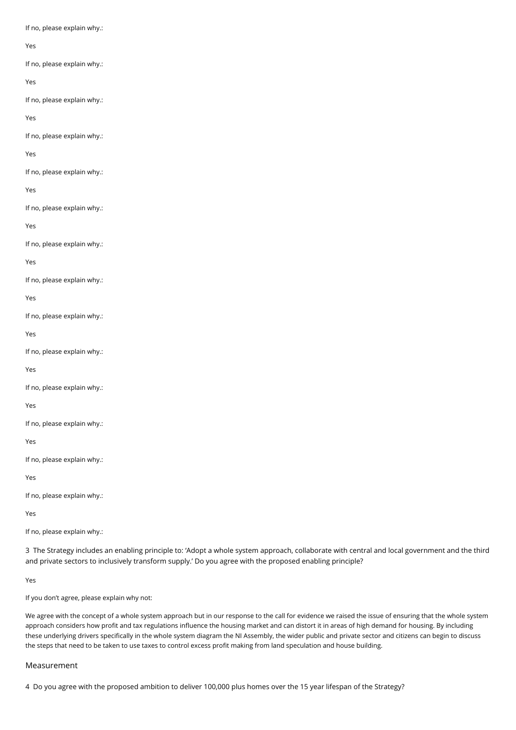If no, please explain why.:

## Yes

If no, please explain why.:

## Yes

If no, please explain why.:

Yes

If no, please explain why.:

Yes

If no, please explain why.:

Yes

If no, please explain why.:

Yes

If no, please explain why.:

Yes

If no, please explain why.:

Yes

If no, please explain why.:

Yes

If no, please explain why.:

Yes

If no, please explain why.:

Yes

If no, please explain why.:

Yes

If no, please explain why.:

Yes

If no, please explain why.:

Yes

If no, please explain why.:

3 The Strategy includes an enabling principle to: 'Adopt a whole system approach, collaborate with central and local government and the third and private sectors to inclusively transform supply.' Do you agree with the proposed enabling principle?

Yes

If you don't agree, please explain why not:

We agree with the concept of a whole system approach but in our response to the call for evidence we raised the issue of ensuring that the whole system approach considers how profit and tax regulations influence the housing market and can distort it in areas of high demand for housing. By including these underlying drivers specifically in the whole system diagram the NI Assembly, the wider public and private sector and citizens can begin to discuss the steps that need to be taken to use taxes to control excess profit making from land speculation and house building.

# Measurement

4 Do you agree with the proposed ambition to deliver 100,000 plus homes over the 15 year lifespan of the Strategy?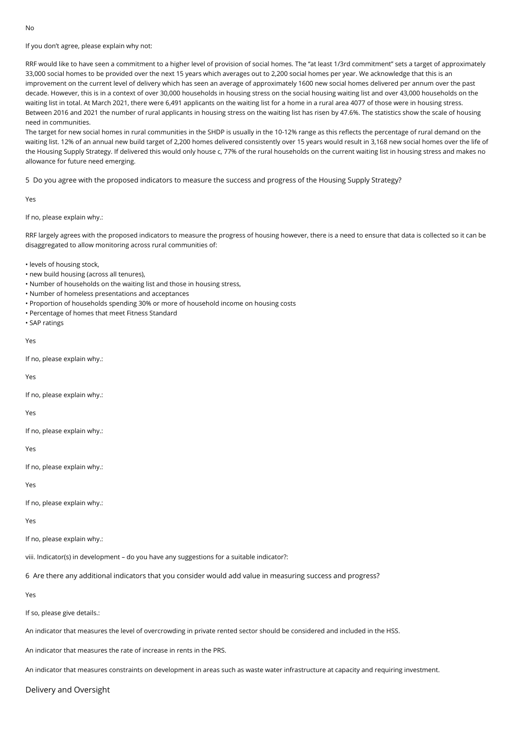If you don't agree, please explain why not:

RRF would like to have seen a commitment to a higher level of provision of social homes. The "at least 1/3rd commitment" sets a target of approximately 33,000 social homes to be provided over the next 15 years which averages out to 2,200 social homes per year. We acknowledge that this is an improvement on the current level of delivery which has seen an average of approximately 1600 new social homes delivered per annum over the past decade. However, this is in a context of over 30,000 households in housing stress on the social housing waiting list and over 43,000 households on the waiting list in total. At March 2021, there were 6,491 applicants on the waiting list for a home in a rural area 4077 of those were in housing stress. Between 2016 and 2021 the number of rural applicants in housing stress on the waiting list has risen by 47.6%. The statistics show the scale of housing need in communities.

The target for new social homes in rural communities in the SHDP is usually in the 10-12% range as this reflects the percentage of rural demand on the waiting list. 12% of an annual new build target of 2,200 homes delivered consistently over 15 years would result in 3,168 new social homes over the life of the Housing Supply Strategy. If delivered this would only house c, 77% of the rural households on the current waiting list in housing stress and makes no allowance for future need emerging.

5 Do you agree with the proposed indicators to measure the success and progress of the Housing Supply Strategy?

Yes

If no, please explain why.:

RRF largely agrees with the proposed indicators to measure the progress of housing however, there is a need to ensure that data is collected so it can be disaggregated to allow monitoring across rural communities of:

• levels of housing stock,

- new build housing (across all tenures),
- Number of households on the waiting list and those in housing stress,
- Number of homeless presentations and acceptances
- Proportion of households spending 30% or more of household income on housing costs
- Percentage of homes that meet Fitness Standard
- SAP ratings

Yes

If no, please explain why.:

Yes

If no, please explain why.:

Yes

If no, please explain why.:

Yes

If no, please explain why.:

Yes

If no, please explain why.:

Yes

If no, please explain why.:

viii. Indicator(s) in development – do you have any suggestions for a suitable indicator?:

6 Are there any additional indicators that you consider would add value in measuring success and progress?

Yes

If so, please give details.:

An indicator that measures the level of overcrowding in private rented sector should be considered and included in the HSS.

An indicator that measures the rate of increase in rents in the PRS.

An indicator that measures constraints on development in areas such as waste water infrastructure at capacity and requiring investment.

Delivery and Oversight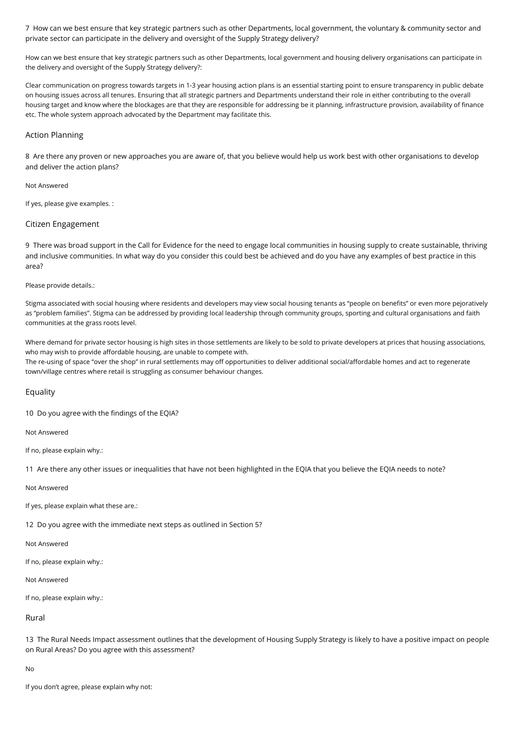7 How can we best ensure that key strategic partners such as other Departments, local government, the voluntary & community sector and private sector can participate in the delivery and oversight of the Supply Strategy delivery?

How can we best ensure that key strategic partners such as other Departments, local government and housing delivery organisations can participate in the delivery and oversight of the Supply Strategy delivery?:

Clear communication on progress towards targets in 1-3 year housing action plans is an essential starting point to ensure transparency in public debate on housing issues across all tenures. Ensuring that all strategic partners and Departments understand their role in either contributing to the overall housing target and know where the blockages are that they are responsible for addressing be it planning, infrastructure provision, availability of finance etc. The whole system approach advocated by the Department may facilitate this.

# Action Planning

8 Are there any proven or new approaches you are aware of, that you believe would help us work best with other organisations to develop and deliver the action plans?

#### Not Answered

If yes, please give examples. :

## Citizen Engagement

9 There was broad support in the Call for Evidence for the need to engage local communities in housing supply to create sustainable, thriving and inclusive communities. In what way do you consider this could best be achieved and do you have any examples of best practice in this area?

Please provide details.:

Stigma associated with social housing where residents and developers may view social housing tenants as "people on benefits" or even more pejoratively as "problem families". Stigma can be addressed by providing local leadership through community groups, sporting and cultural organisations and faith communities at the grass roots level.

Where demand for private sector housing is high sites in those settlements are likely to be sold to private developers at prices that housing associations, who may wish to provide affordable housing, are unable to compete with.

The re-using of space "over the shop" in rural settlements may off opportunities to deliver additional social/affordable homes and act to regenerate town/village centres where retail is struggling as consumer behaviour changes.

#### Equality

10 Do you agree with the findings of the EQIA?

Not Answered

If no, please explain why.:

11 Are there any other issues or inequalities that have not been highlighted in the EQIA that you believe the EQIA needs to note?

# Not Answered

If yes, please explain what these are.:

12 Do you agree with the immediate next steps as outlined in Section 5?

Not Answered

If no, please explain why.:

# Not Answered

If no, please explain why.:

### Rural

13 The Rural Needs Impact assessment outlines that the development of Housing Supply Strategy is likely to have a positive impact on people on Rural Areas? Do you agree with this assessment?

No

If you don't agree, please explain why not: